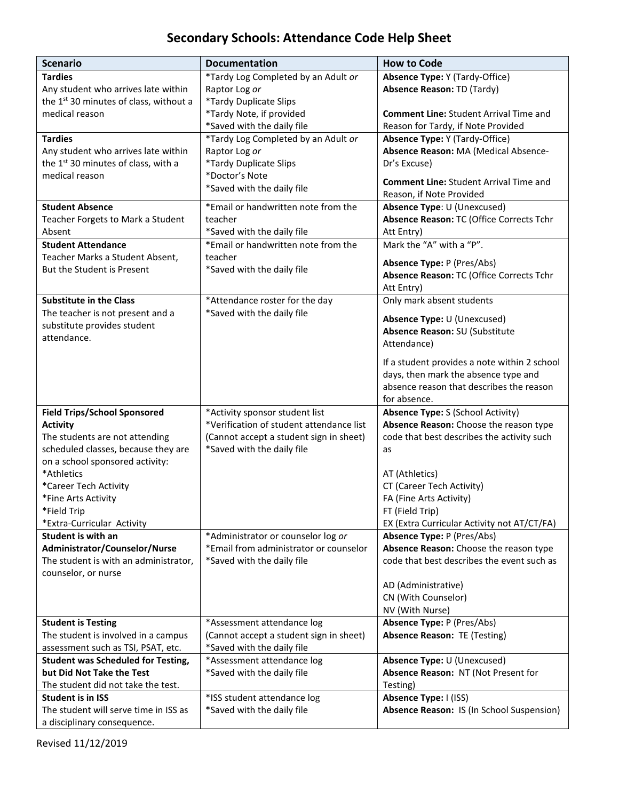## **Secondary Schools: Attendance Code Help Sheet**

| <b>Scenario</b>                                    | <b>Documentation</b>                     | <b>How to Code</b>                            |
|----------------------------------------------------|------------------------------------------|-----------------------------------------------|
| <b>Tardies</b>                                     | *Tardy Log Completed by an Adult or      | <b>Absence Type: Y (Tardy-Office)</b>         |
| Any student who arrives late within                | Raptor Log or                            | <b>Absence Reason: TD (Tardy)</b>             |
| the 1 <sup>st</sup> 30 minutes of class, without a | *Tardy Duplicate Slips                   |                                               |
| medical reason                                     | *Tardy Note, if provided                 | <b>Comment Line: Student Arrival Time and</b> |
|                                                    | *Saved with the daily file               | Reason for Tardy, if Note Provided            |
| <b>Tardies</b>                                     | *Tardy Log Completed by an Adult or      | <b>Absence Type: Y (Tardy-Office)</b>         |
| Any student who arrives late within                | Raptor Log or                            | Absence Reason: MA (Medical Absence-          |
| the 1 <sup>st</sup> 30 minutes of class, with a    | *Tardy Duplicate Slips                   | Dr's Excuse)                                  |
| medical reason                                     | *Doctor's Note                           | <b>Comment Line: Student Arrival Time and</b> |
|                                                    | *Saved with the daily file               | Reason, if Note Provided                      |
| <b>Student Absence</b>                             | *Email or handwritten note from the      | Absence Type: U (Unexcused)                   |
| Teacher Forgets to Mark a Student                  | teacher                                  | Absence Reason: TC (Office Corrects Tchr      |
| Absent                                             | *Saved with the daily file               | Att Entry)                                    |
| <b>Student Attendance</b>                          | *Email or handwritten note from the      | Mark the "A" with a "P".                      |
| Teacher Marks a Student Absent,                    | teacher                                  |                                               |
| But the Student is Present                         | *Saved with the daily file               | Absence Type: P (Pres/Abs)                    |
|                                                    |                                          | Absence Reason: TC (Office Corrects Tchr      |
|                                                    |                                          | Att Entry)                                    |
| <b>Substitute in the Class</b>                     | *Attendance roster for the day           | Only mark absent students                     |
| The teacher is not present and a                   | *Saved with the daily file               | Absence Type: U (Unexcused)                   |
| substitute provides student                        |                                          | Absence Reason: SU (Substitute                |
| attendance.                                        |                                          | Attendance)                                   |
|                                                    |                                          | If a student provides a note within 2 school  |
|                                                    |                                          | days, then mark the absence type and          |
|                                                    |                                          | absence reason that describes the reason      |
|                                                    |                                          | for absence.                                  |
| <b>Field Trips/School Sponsored</b>                | *Activity sponsor student list           | <b>Absence Type: S (School Activity)</b>      |
| <b>Activity</b>                                    | *Verification of student attendance list | Absence Reason: Choose the reason type        |
| The students are not attending                     | (Cannot accept a student sign in sheet)  | code that best describes the activity such    |
| scheduled classes, because they are                | *Saved with the daily file               | as                                            |
| on a school sponsored activity:                    |                                          |                                               |
| *Athletics                                         |                                          | AT (Athletics)                                |
| *Career Tech Activity                              |                                          | CT (Career Tech Activity)                     |
| *Fine Arts Activity                                |                                          | FA (Fine Arts Activity)                       |
| *Field Trip                                        |                                          | FT (Field Trip)                               |
| *Extra-Curricular Activity                         |                                          | EX (Extra Curricular Activity not AT/CT/FA)   |
| Student is with an                                 | *Administrator or counselor log or       | <b>Absence Type: P (Pres/Abs)</b>             |
| Administrator/Counselor/Nurse                      | *Email from administrator or counselor   | Absence Reason: Choose the reason type        |
| The student is with an administrator,              | *Saved with the daily file               | code that best describes the event such as    |
| counselor, or nurse                                |                                          |                                               |
|                                                    |                                          | AD (Administrative)                           |
|                                                    |                                          | CN (With Counselor)                           |
|                                                    |                                          | NV (With Nurse)                               |
| <b>Student is Testing</b>                          | *Assessment attendance log               | Absence Type: P (Pres/Abs)                    |
| The student is involved in a campus                | (Cannot accept a student sign in sheet)  | <b>Absence Reason: TE (Testing)</b>           |
| assessment such as TSI, PSAT, etc.                 | *Saved with the daily file               |                                               |
| <b>Student was Scheduled for Testing,</b>          | *Assessment attendance log               | Absence Type: U (Unexcused)                   |
| but Did Not Take the Test                          | *Saved with the daily file               | Absence Reason: NT (Not Present for           |
| The student did not take the test.                 |                                          | Testing)                                      |
| <b>Student is in ISS</b>                           | *ISS student attendance log              | Absence Type: I (ISS)                         |
| The student will serve time in ISS as              | *Saved with the daily file               | Absence Reason: IS (In School Suspension)     |
| a disciplinary consequence.                        |                                          |                                               |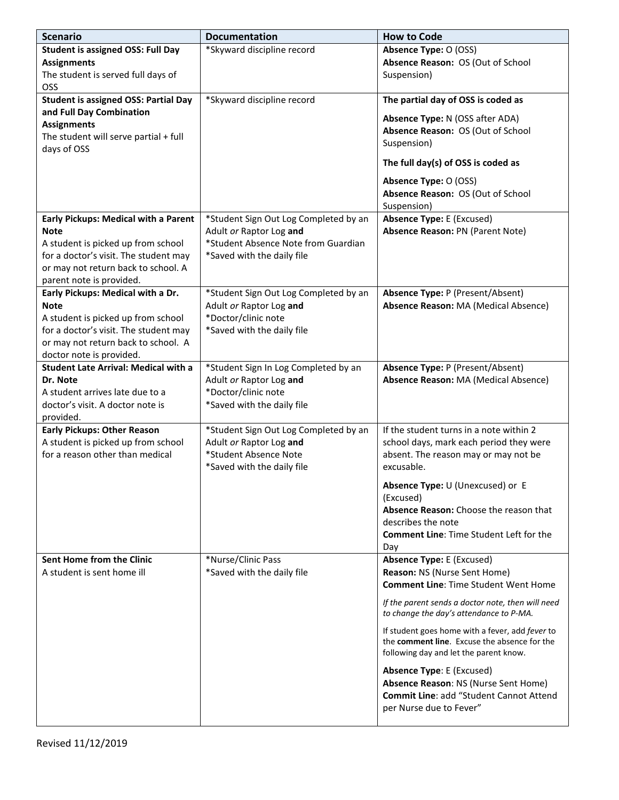| <b>Scenario</b>                                                 | <b>Documentation</b>                             | <b>How to Code</b>                                                                                                                                |
|-----------------------------------------------------------------|--------------------------------------------------|---------------------------------------------------------------------------------------------------------------------------------------------------|
| <b>Student is assigned OSS: Full Day</b>                        | *Skyward discipline record                       | Absence Type: O (OSS)                                                                                                                             |
| <b>Assignments</b>                                              |                                                  | Absence Reason: OS (Out of School                                                                                                                 |
| The student is served full days of                              |                                                  | Suspension)                                                                                                                                       |
| OSS                                                             |                                                  |                                                                                                                                                   |
| <b>Student is assigned OSS: Partial Day</b>                     | *Skyward discipline record                       | The partial day of OSS is coded as                                                                                                                |
| and Full Day Combination<br><b>Assignments</b>                  |                                                  | Absence Type: N (OSS after ADA)                                                                                                                   |
| The student will serve partial + full                           |                                                  | Absence Reason: OS (Out of School                                                                                                                 |
| days of OSS                                                     |                                                  | Suspension)                                                                                                                                       |
|                                                                 |                                                  | The full day(s) of OSS is coded as                                                                                                                |
|                                                                 |                                                  | Absence Type: O (OSS)                                                                                                                             |
|                                                                 |                                                  | Absence Reason: OS (Out of School                                                                                                                 |
|                                                                 |                                                  | Suspension)                                                                                                                                       |
| <b>Early Pickups: Medical with a Parent</b>                     | *Student Sign Out Log Completed by an            | <b>Absence Type: E (Excused)</b>                                                                                                                  |
| <b>Note</b>                                                     | Adult or Raptor Log and                          | Absence Reason: PN (Parent Note)                                                                                                                  |
| A student is picked up from school                              | *Student Absence Note from Guardian              |                                                                                                                                                   |
| for a doctor's visit. The student may                           | *Saved with the daily file                       |                                                                                                                                                   |
| or may not return back to school. A<br>parent note is provided. |                                                  |                                                                                                                                                   |
| Early Pickups: Medical with a Dr.                               | *Student Sign Out Log Completed by an            | Absence Type: P (Present/Absent)                                                                                                                  |
| <b>Note</b>                                                     | Adult or Raptor Log and                          | Absence Reason: MA (Medical Absence)                                                                                                              |
| A student is picked up from school                              | *Doctor/clinic note                              |                                                                                                                                                   |
| for a doctor's visit. The student may                           | *Saved with the daily file                       |                                                                                                                                                   |
| or may not return back to school. A                             |                                                  |                                                                                                                                                   |
| doctor note is provided.                                        |                                                  |                                                                                                                                                   |
| <b>Student Late Arrival: Medical with a</b>                     | *Student Sign In Log Completed by an             | Absence Type: P (Present/Absent)                                                                                                                  |
| Dr. Note<br>A student arrives late due to a                     | Adult or Raptor Log and<br>*Doctor/clinic note   | Absence Reason: MA (Medical Absence)                                                                                                              |
| doctor's visit. A doctor note is                                | *Saved with the daily file                       |                                                                                                                                                   |
| provided.                                                       |                                                  |                                                                                                                                                   |
| <b>Early Pickups: Other Reason</b>                              | *Student Sign Out Log Completed by an            | If the student turns in a note within 2                                                                                                           |
| A student is picked up from school                              | Adult or Raptor Log and                          | school days, mark each period they were                                                                                                           |
| for a reason other than medical                                 | *Student Absence Note                            | absent. The reason may or may not be                                                                                                              |
|                                                                 | *Saved with the daily file                       | excusable.                                                                                                                                        |
|                                                                 |                                                  | Absence Type: U (Unexcused) or E                                                                                                                  |
|                                                                 |                                                  | (Excused)                                                                                                                                         |
|                                                                 |                                                  | Absence Reason: Choose the reason that                                                                                                            |
|                                                                 |                                                  | describes the note                                                                                                                                |
|                                                                 |                                                  | <b>Comment Line: Time Student Left for the</b>                                                                                                    |
|                                                                 |                                                  | Day                                                                                                                                               |
| Sent Home from the Clinic<br>A student is sent home ill         | *Nurse/Clinic Pass<br>*Saved with the daily file | <b>Absence Type: E (Excused)</b><br>Reason: NS (Nurse Sent Home)                                                                                  |
|                                                                 |                                                  | <b>Comment Line: Time Student Went Home</b>                                                                                                       |
|                                                                 |                                                  |                                                                                                                                                   |
|                                                                 |                                                  | If the parent sends a doctor note, then will need<br>to change the day's attendance to P-MA.                                                      |
|                                                                 |                                                  | If student goes home with a fever, add fever to<br>the <b>comment line</b> . Excuse the absence for the<br>following day and let the parent know. |
|                                                                 |                                                  | Absence Type: E (Excused)                                                                                                                         |
|                                                                 |                                                  | Absence Reason: NS (Nurse Sent Home)                                                                                                              |
|                                                                 |                                                  | Commit Line: add "Student Cannot Attend                                                                                                           |
|                                                                 |                                                  | per Nurse due to Fever"                                                                                                                           |
|                                                                 |                                                  |                                                                                                                                                   |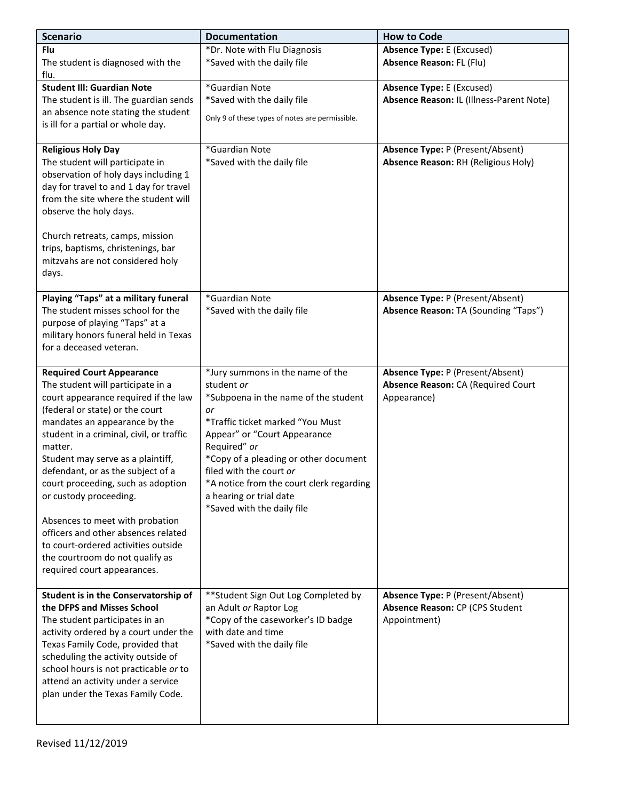| <b>Scenario</b>                                                                                                                                                                                                                                                                                                                                                                                                                                                                                                                                                       | <b>Documentation</b>                                                                                                                                                                                                                                                                                                                                      | <b>How to Code</b>                                                                    |
|-----------------------------------------------------------------------------------------------------------------------------------------------------------------------------------------------------------------------------------------------------------------------------------------------------------------------------------------------------------------------------------------------------------------------------------------------------------------------------------------------------------------------------------------------------------------------|-----------------------------------------------------------------------------------------------------------------------------------------------------------------------------------------------------------------------------------------------------------------------------------------------------------------------------------------------------------|---------------------------------------------------------------------------------------|
| Flu<br>The student is diagnosed with the<br>flu.                                                                                                                                                                                                                                                                                                                                                                                                                                                                                                                      | *Dr. Note with Flu Diagnosis<br>*Saved with the daily file                                                                                                                                                                                                                                                                                                | <b>Absence Type: E (Excused)</b><br><b>Absence Reason: FL (Flu)</b>                   |
| <b>Student III: Guardian Note</b><br>The student is ill. The guardian sends<br>an absence note stating the student<br>is ill for a partial or whole day.                                                                                                                                                                                                                                                                                                                                                                                                              | *Guardian Note<br>*Saved with the daily file<br>Only 9 of these types of notes are permissible.                                                                                                                                                                                                                                                           | <b>Absence Type: E (Excused)</b><br>Absence Reason: IL (Illness-Parent Note)          |
| <b>Religious Holy Day</b><br>The student will participate in<br>observation of holy days including 1<br>day for travel to and 1 day for travel<br>from the site where the student will<br>observe the holy days.<br>Church retreats, camps, mission<br>trips, baptisms, christenings, bar<br>mitzvahs are not considered holy<br>days.                                                                                                                                                                                                                                | *Guardian Note<br>*Saved with the daily file                                                                                                                                                                                                                                                                                                              | Absence Type: P (Present/Absent)<br>Absence Reason: RH (Religious Holy)               |
| Playing "Taps" at a military funeral<br>The student misses school for the<br>purpose of playing "Taps" at a<br>military honors funeral held in Texas<br>for a deceased veteran.                                                                                                                                                                                                                                                                                                                                                                                       | *Guardian Note<br>*Saved with the daily file                                                                                                                                                                                                                                                                                                              | Absence Type: P (Present/Absent)<br>Absence Reason: TA (Sounding "Taps")              |
| <b>Required Court Appearance</b><br>The student will participate in a<br>court appearance required if the law<br>(federal or state) or the court<br>mandates an appearance by the<br>student in a criminal, civil, or traffic<br>matter.<br>Student may serve as a plaintiff,<br>defendant, or as the subject of a<br>court proceeding, such as adoption<br>or custody proceeding.<br>Absences to meet with probation<br>officers and other absences related<br>to court-ordered activities outside<br>the courtroom do not qualify as<br>required court appearances. | *Jury summons in the name of the<br>student or<br>*Subpoena in the name of the student<br>or<br>*Traffic ticket marked "You Must<br>Appear" or "Court Appearance<br>Required" or<br>*Copy of a pleading or other document<br>filed with the court or<br>*A notice from the court clerk regarding<br>a hearing or trial date<br>*Saved with the daily file | Absence Type: P (Present/Absent)<br>Absence Reason: CA (Required Court<br>Appearance) |
| Student is in the Conservatorship of<br>the DFPS and Misses School<br>The student participates in an<br>activity ordered by a court under the<br>Texas Family Code, provided that<br>scheduling the activity outside of<br>school hours is not practicable or to<br>attend an activity under a service<br>plan under the Texas Family Code.                                                                                                                                                                                                                           | ** Student Sign Out Log Completed by<br>an Adult or Raptor Log<br>*Copy of the caseworker's ID badge<br>with date and time<br>*Saved with the daily file                                                                                                                                                                                                  | Absence Type: P (Present/Absent)<br>Absence Reason: CP (CPS Student<br>Appointment)   |